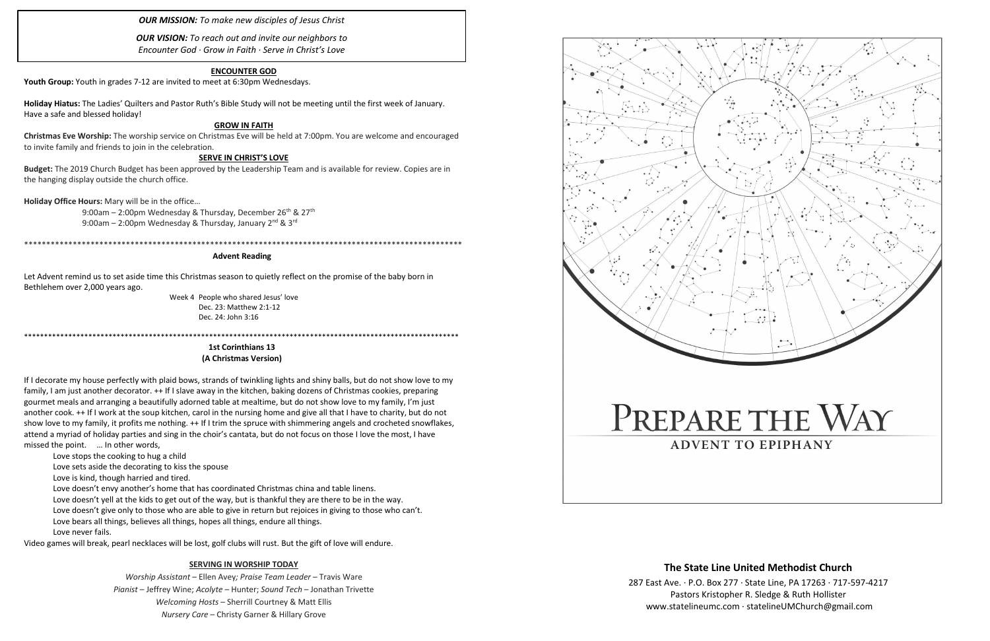**OUR MISSION:** To make new disciples of Jesus Christ

**OUR VISION:** To reach out and invite our neighbors to

Encounter God · Grow in Faith · Serve in Christ's Love

## **ENCOUNTER GOD**

Youth Group: Youth in grades 7-12 are invited to meet at 6:30pm Wednesdays.

Holiday Hiatus: The Ladies' Quilters and Pastor Ruth's Bible Study will not be meeting until the first week of January. Have a safe and blessed holiday!

### **GROW IN FAITH**

Christmas Eve Worship: The worship service on Christmas Eve will be held at 7:00pm. You are welcome and encouraged to invite family and friends to join in the celebration.

# **SERVE IN CHRIST'S LOVE**

Budget: The 2019 Church Budget has been approved by the Leadership Team and is available for review. Copies are in the hanging display outside the church office.

Holiday Office Hours: Mary will be in the office...

9:00am – 2:00pm Wednesday & Thursday, December  $26^{th}$  &  $27^{th}$ 9:00am - 2:00pm Wednesday & Thursday, January 2nd & 3rd

### **Advent Reading**

Let Advent remind us to set aside time this Christmas season to quietly reflect on the promise of the baby born in Bethlehem over 2,000 years ago.

> Week 4 People who shared Jesus' love Dec. 23: Matthew 2:1-12 Dec. 24: John 3:16

# **1st Corinthians 13** (A Christmas Version)

If I decorate my house perfectly with plaid bows, strands of twinkling lights and shiny balls, but do not show love to my family, I am just another decorator. ++ If I slave away in the kitchen, baking dozens of Christmas cookies, preparing gourmet meals and arranging a beautifully adorned table at mealtime, but do not show love to my family, I'm just another cook. ++ If I work at the soup kitchen, carol in the nursing home and give all that I have to charity, but do not show love to my family, it profits me nothing.  $++$  If I trim the spruce with shimmering angels and crocheted snowflakes, attend a myriad of holiday parties and sing in the choir's cantata, but do not focus on those I love the most, I have missed the point. ... In other words,

Love stops the cooking to hug a child

Love sets aside the decorating to kiss the spouse

Love is kind, though harried and tired.

Love doesn't envy another's home that has coordinated Christmas china and table linens.

Love doesn't yell at the kids to get out of the way, but is thankful they are there to be in the way.

Love doesn't give only to those who are able to give in return but rejoices in giving to those who can't.

Love bears all things, believes all things, hopes all things, endure all things.

Love never fails.

Video games will break, pearl necklaces will be lost, golf clubs will rust. But the gift of love will endure.

# **SERVING IN WORSHIP TODAY**

Worship Assistant - Ellen Avey; Praise Team Leader - Travis Ware Pianist - Jeffrey Wine; Acolyte - Hunter; Sound Tech - Jonathan Trivette Welcoming Hosts - Sherrill Courtney & Matt Ellis Nursery Care - Christy Garner & Hillary Grove





287 East Ave. · P.O. Box 277 · State Line, PA 17263 · 717-597-4217 Pastors Kristopher R. Sledge & Ruth Hollister www.statelineumc.com · statelineUMChurch@gmail.com

# The State Line United Methodist Church